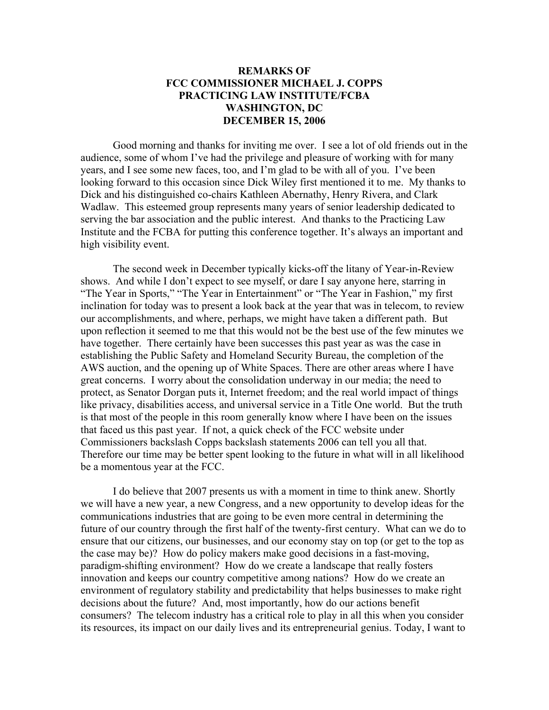## **REMARKS OF FCC COMMISSIONER MICHAEL J. COPPS PRACTICING LAW INSTITUTE/FCBA WASHINGTON, DC DECEMBER 15, 2006**

Good morning and thanks for inviting me over. I see a lot of old friends out in the audience, some of whom I've had the privilege and pleasure of working with for many years, and I see some new faces, too, and I'm glad to be with all of you. I've been looking forward to this occasion since Dick Wiley first mentioned it to me. My thanks to Dick and his distinguished co-chairs Kathleen Abernathy, Henry Rivera, and Clark Wadlaw. This esteemed group represents many years of senior leadership dedicated to serving the bar association and the public interest. And thanks to the Practicing Law Institute and the FCBA for putting this conference together. It's always an important and high visibility event.

 The second week in December typically kicks-off the litany of Year-in-Review shows. And while I don't expect to see myself, or dare I say anyone here, starring in "The Year in Sports," "The Year in Entertainment" or "The Year in Fashion," my first inclination for today was to present a look back at the year that was in telecom, to review our accomplishments, and where, perhaps, we might have taken a different path. But upon reflection it seemed to me that this would not be the best use of the few minutes we have together. There certainly have been successes this past year as was the case in establishing the Public Safety and Homeland Security Bureau, the completion of the AWS auction, and the opening up of White Spaces. There are other areas where I have great concerns. I worry about the consolidation underway in our media; the need to protect, as Senator Dorgan puts it, Internet freedom; and the real world impact of things like privacy, disabilities access, and universal service in a Title One world. But the truth is that most of the people in this room generally know where I have been on the issues that faced us this past year. If not, a quick check of the FCC website under Commissioners backslash Copps backslash statements 2006 can tell you all that. Therefore our time may be better spent looking to the future in what will in all likelihood be a momentous year at the FCC.

I do believe that 2007 presents us with a moment in time to think anew. Shortly we will have a new year, a new Congress, and a new opportunity to develop ideas for the communications industries that are going to be even more central in determining the future of our country through the first half of the twenty-first century. What can we do to ensure that our citizens, our businesses, and our economy stay on top (or get to the top as the case may be)? How do policy makers make good decisions in a fast-moving, paradigm-shifting environment? How do we create a landscape that really fosters innovation and keeps our country competitive among nations? How do we create an environment of regulatory stability and predictability that helps businesses to make right decisions about the future? And, most importantly, how do our actions benefit consumers? The telecom industry has a critical role to play in all this when you consider its resources, its impact on our daily lives and its entrepreneurial genius. Today, I want to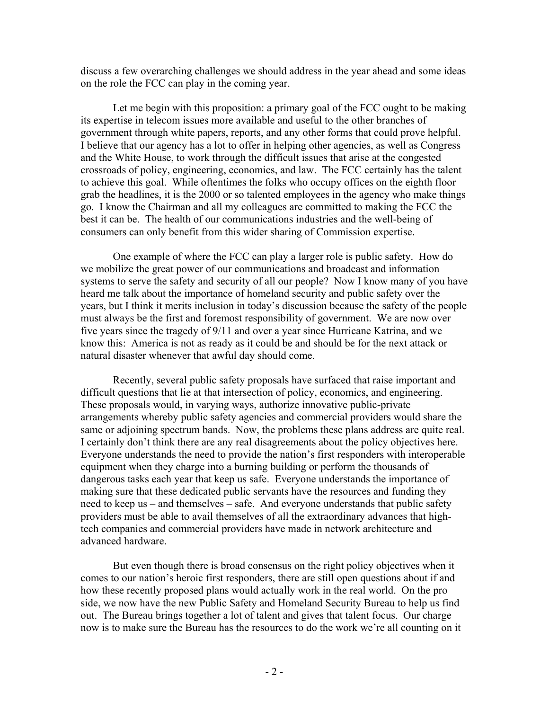discuss a few overarching challenges we should address in the year ahead and some ideas on the role the FCC can play in the coming year.

Let me begin with this proposition: a primary goal of the FCC ought to be making its expertise in telecom issues more available and useful to the other branches of government through white papers, reports, and any other forms that could prove helpful. I believe that our agency has a lot to offer in helping other agencies, as well as Congress and the White House, to work through the difficult issues that arise at the congested crossroads of policy, engineering, economics, and law. The FCC certainly has the talent to achieve this goal. While oftentimes the folks who occupy offices on the eighth floor grab the headlines, it is the 2000 or so talented employees in the agency who make things go. I know the Chairman and all my colleagues are committed to making the FCC the best it can be. The health of our communications industries and the well-being of consumers can only benefit from this wider sharing of Commission expertise.

One example of where the FCC can play a larger role is public safety. How do we mobilize the great power of our communications and broadcast and information systems to serve the safety and security of all our people? Now I know many of you have heard me talk about the importance of homeland security and public safety over the years, but I think it merits inclusion in today's discussion because the safety of the people must always be the first and foremost responsibility of government. We are now over five years since the tragedy of 9/11 and over a year since Hurricane Katrina, and we know this: America is not as ready as it could be and should be for the next attack or natural disaster whenever that awful day should come.

Recently, several public safety proposals have surfaced that raise important and difficult questions that lie at that intersection of policy, economics, and engineering. These proposals would, in varying ways, authorize innovative public-private arrangements whereby public safety agencies and commercial providers would share the same or adjoining spectrum bands. Now, the problems these plans address are quite real. I certainly don't think there are any real disagreements about the policy objectives here. Everyone understands the need to provide the nation's first responders with interoperable equipment when they charge into a burning building or perform the thousands of dangerous tasks each year that keep us safe. Everyone understands the importance of making sure that these dedicated public servants have the resources and funding they need to keep us – and themselves – safe. And everyone understands that public safety providers must be able to avail themselves of all the extraordinary advances that hightech companies and commercial providers have made in network architecture and advanced hardware.

But even though there is broad consensus on the right policy objectives when it comes to our nation's heroic first responders, there are still open questions about if and how these recently proposed plans would actually work in the real world. On the pro side, we now have the new Public Safety and Homeland Security Bureau to help us find out. The Bureau brings together a lot of talent and gives that talent focus. Our charge now is to make sure the Bureau has the resources to do the work we're all counting on it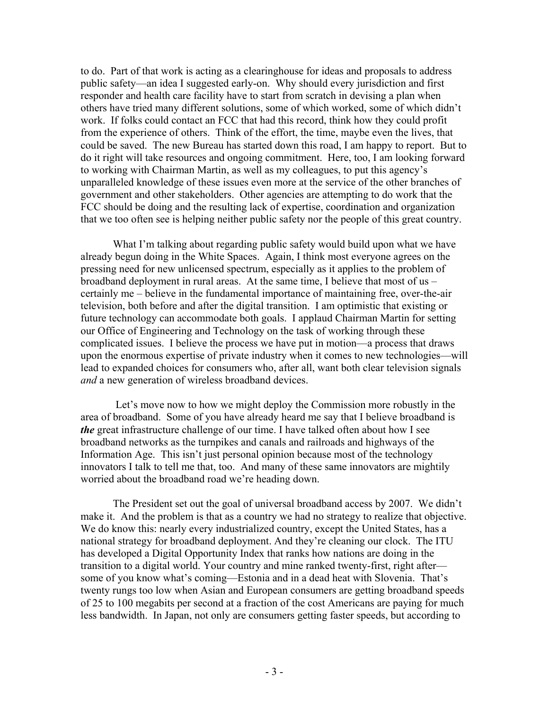to do. Part of that work is acting as a clearinghouse for ideas and proposals to address public safety—an idea I suggested early-on. Why should every jurisdiction and first responder and health care facility have to start from scratch in devising a plan when others have tried many different solutions, some of which worked, some of which didn't work. If folks could contact an FCC that had this record, think how they could profit from the experience of others. Think of the effort, the time, maybe even the lives, that could be saved. The new Bureau has started down this road, I am happy to report. But to do it right will take resources and ongoing commitment. Here, too, I am looking forward to working with Chairman Martin, as well as my colleagues, to put this agency's unparalleled knowledge of these issues even more at the service of the other branches of government and other stakeholders. Other agencies are attempting to do work that the FCC should be doing and the resulting lack of expertise, coordination and organization that we too often see is helping neither public safety nor the people of this great country.

What I'm talking about regarding public safety would build upon what we have already begun doing in the White Spaces. Again, I think most everyone agrees on the pressing need for new unlicensed spectrum, especially as it applies to the problem of broadband deployment in rural areas. At the same time, I believe that most of us – certainly me – believe in the fundamental importance of maintaining free, over-the-air television, both before and after the digital transition. I am optimistic that existing or future technology can accommodate both goals. I applaud Chairman Martin for setting our Office of Engineering and Technology on the task of working through these complicated issues. I believe the process we have put in motion—a process that draws upon the enormous expertise of private industry when it comes to new technologies—will lead to expanded choices for consumers who, after all, want both clear television signals *and* a new generation of wireless broadband devices.

 Let's move now to how we might deploy the Commission more robustly in the area of broadband. Some of you have already heard me say that I believe broadband is *the* great infrastructure challenge of our time. I have talked often about how I see broadband networks as the turnpikes and canals and railroads and highways of the Information Age. This isn't just personal opinion because most of the technology innovators I talk to tell me that, too. And many of these same innovators are mightily worried about the broadband road we're heading down.

The President set out the goal of universal broadband access by 2007. We didn't make it. And the problem is that as a country we had no strategy to realize that objective. We do know this: nearly every industrialized country, except the United States, has a national strategy for broadband deployment. And they're cleaning our clock. The ITU has developed a Digital Opportunity Index that ranks how nations are doing in the transition to a digital world. Your country and mine ranked twenty-first, right after some of you know what's coming—Estonia and in a dead heat with Slovenia. That's twenty rungs too low when Asian and European consumers are getting broadband speeds of 25 to 100 megabits per second at a fraction of the cost Americans are paying for much less bandwidth. In Japan, not only are consumers getting faster speeds, but according to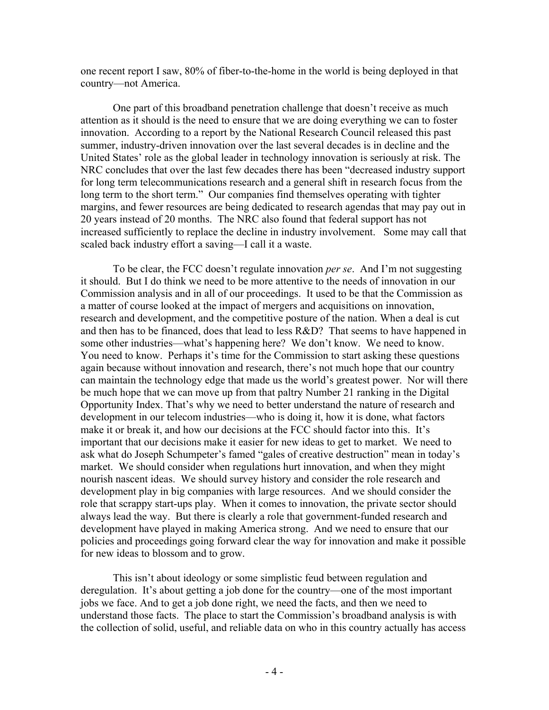one recent report I saw, 80% of fiber-to-the-home in the world is being deployed in that country—not America.

One part of this broadband penetration challenge that doesn't receive as much attention as it should is the need to ensure that we are doing everything we can to foster innovation. According to a report by the National Research Council released this past summer, industry-driven innovation over the last several decades is in decline and the United States' role as the global leader in technology innovation is seriously at risk. The NRC concludes that over the last few decades there has been "decreased industry support for long term telecommunications research and a general shift in research focus from the long term to the short term." Our companies find themselves operating with tighter margins, and fewer resources are being dedicated to research agendas that may pay out in 20 years instead of 20 months. The NRC also found that federal support has not increased sufficiently to replace the decline in industry involvement. Some may call that scaled back industry effort a saving—I call it a waste.

To be clear, the FCC doesn't regulate innovation *per se*. And I'm not suggesting it should. But I do think we need to be more attentive to the needs of innovation in our Commission analysis and in all of our proceedings. It used to be that the Commission as a matter of course looked at the impact of mergers and acquisitions on innovation, research and development, and the competitive posture of the nation. When a deal is cut and then has to be financed, does that lead to less R&D? That seems to have happened in some other industries—what's happening here? We don't know. We need to know. You need to know. Perhaps it's time for the Commission to start asking these questions again because without innovation and research, there's not much hope that our country can maintain the technology edge that made us the world's greatest power. Nor will there be much hope that we can move up from that paltry Number 21 ranking in the Digital Opportunity Index. That's why we need to better understand the nature of research and development in our telecom industries—who is doing it, how it is done, what factors make it or break it, and how our decisions at the FCC should factor into this. It's important that our decisions make it easier for new ideas to get to market. We need to ask what do Joseph Schumpeter's famed "gales of creative destruction" mean in today's market. We should consider when regulations hurt innovation, and when they might nourish nascent ideas. We should survey history and consider the role research and development play in big companies with large resources. And we should consider the role that scrappy start-ups play. When it comes to innovation, the private sector should always lead the way. But there is clearly a role that government-funded research and development have played in making America strong. And we need to ensure that our policies and proceedings going forward clear the way for innovation and make it possible for new ideas to blossom and to grow.

This isn't about ideology or some simplistic feud between regulation and deregulation. It's about getting a job done for the country—one of the most important jobs we face. And to get a job done right, we need the facts, and then we need to understand those facts. The place to start the Commission's broadband analysis is with the collection of solid, useful, and reliable data on who in this country actually has access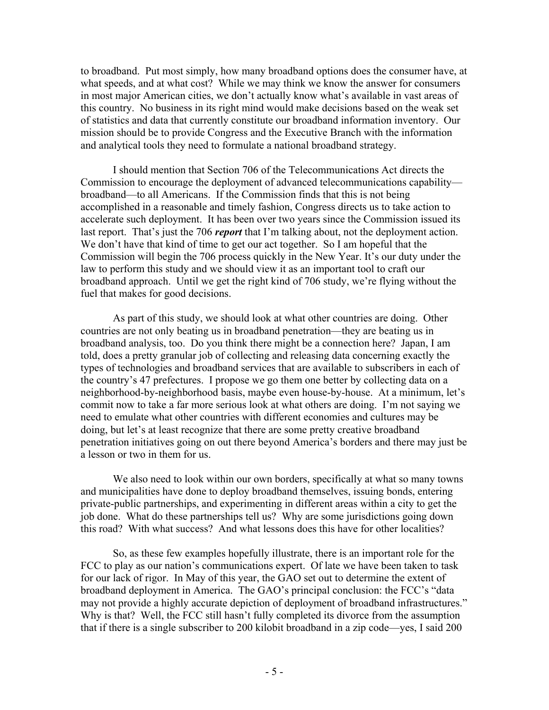to broadband. Put most simply, how many broadband options does the consumer have, at what speeds, and at what cost? While we may think we know the answer for consumers in most major American cities, we don't actually know what's available in vast areas of this country. No business in its right mind would make decisions based on the weak set of statistics and data that currently constitute our broadband information inventory. Our mission should be to provide Congress and the Executive Branch with the information and analytical tools they need to formulate a national broadband strategy.

I should mention that Section 706 of the Telecommunications Act directs the Commission to encourage the deployment of advanced telecommunications capability broadband—to all Americans. If the Commission finds that this is not being accomplished in a reasonable and timely fashion, Congress directs us to take action to accelerate such deployment. It has been over two years since the Commission issued its last report. That's just the 706 *report* that I'm talking about, not the deployment action. We don't have that kind of time to get our act together. So I am hopeful that the Commission will begin the 706 process quickly in the New Year. It's our duty under the law to perform this study and we should view it as an important tool to craft our broadband approach. Until we get the right kind of 706 study, we're flying without the fuel that makes for good decisions.

As part of this study, we should look at what other countries are doing. Other countries are not only beating us in broadband penetration—they are beating us in broadband analysis, too. Do you think there might be a connection here? Japan, I am told, does a pretty granular job of collecting and releasing data concerning exactly the types of technologies and broadband services that are available to subscribers in each of the country's 47 prefectures. I propose we go them one better by collecting data on a neighborhood-by-neighborhood basis, maybe even house-by-house. At a minimum, let's commit now to take a far more serious look at what others are doing. I'm not saying we need to emulate what other countries with different economies and cultures may be doing, but let's at least recognize that there are some pretty creative broadband penetration initiatives going on out there beyond America's borders and there may just be a lesson or two in them for us.

We also need to look within our own borders, specifically at what so many towns and municipalities have done to deploy broadband themselves, issuing bonds, entering private-public partnerships, and experimenting in different areas within a city to get the job done. What do these partnerships tell us? Why are some jurisdictions going down this road? With what success? And what lessons does this have for other localities?

So, as these few examples hopefully illustrate, there is an important role for the FCC to play as our nation's communications expert. Of late we have been taken to task for our lack of rigor. In May of this year, the GAO set out to determine the extent of broadband deployment in America. The GAO's principal conclusion: the FCC's "data may not provide a highly accurate depiction of deployment of broadband infrastructures." Why is that? Well, the FCC still hasn't fully completed its divorce from the assumption that if there is a single subscriber to 200 kilobit broadband in a zip code—yes, I said 200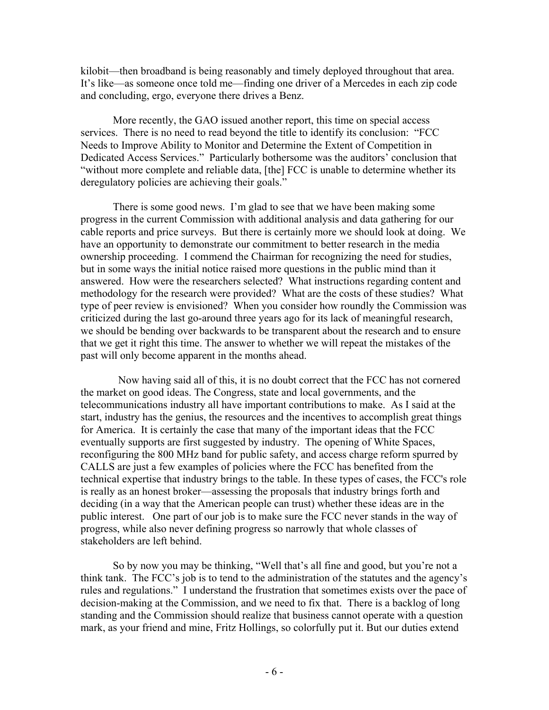kilobit—then broadband is being reasonably and timely deployed throughout that area. It's like—as someone once told me—finding one driver of a Mercedes in each zip code and concluding, ergo, everyone there drives a Benz.

More recently, the GAO issued another report, this time on special access services. There is no need to read beyond the title to identify its conclusion: "FCC Needs to Improve Ability to Monitor and Determine the Extent of Competition in Dedicated Access Services." Particularly bothersome was the auditors' conclusion that "without more complete and reliable data, [the] FCC is unable to determine whether its deregulatory policies are achieving their goals."

There is some good news. I'm glad to see that we have been making some progress in the current Commission with additional analysis and data gathering for our cable reports and price surveys. But there is certainly more we should look at doing. We have an opportunity to demonstrate our commitment to better research in the media ownership proceeding. I commend the Chairman for recognizing the need for studies, but in some ways the initial notice raised more questions in the public mind than it answered. How were the researchers selected? What instructions regarding content and methodology for the research were provided? What are the costs of these studies? What type of peer review is envisioned? When you consider how roundly the Commission was criticized during the last go-around three years ago for its lack of meaningful research, we should be bending over backwards to be transparent about the research and to ensure that we get it right this time. The answer to whether we will repeat the mistakes of the past will only become apparent in the months ahead.

 Now having said all of this, it is no doubt correct that the FCC has not cornered the market on good ideas. The Congress, state and local governments, and the telecommunications industry all have important contributions to make. As I said at the start, industry has the genius, the resources and the incentives to accomplish great things for America. It is certainly the case that many of the important ideas that the FCC eventually supports are first suggested by industry. The opening of White Spaces, reconfiguring the 800 MHz band for public safety, and access charge reform spurred by CALLS are just a few examples of policies where the FCC has benefited from the technical expertise that industry brings to the table. In these types of cases, the FCC's role is really as an honest broker—assessing the proposals that industry brings forth and deciding (in a way that the American people can trust) whether these ideas are in the public interest. One part of our job is to make sure the FCC never stands in the way of progress, while also never defining progress so narrowly that whole classes of stakeholders are left behind.

So by now you may be thinking, "Well that's all fine and good, but you're not a think tank. The FCC's job is to tend to the administration of the statutes and the agency's rules and regulations." I understand the frustration that sometimes exists over the pace of decision-making at the Commission, and we need to fix that. There is a backlog of long standing and the Commission should realize that business cannot operate with a question mark, as your friend and mine, Fritz Hollings, so colorfully put it. But our duties extend